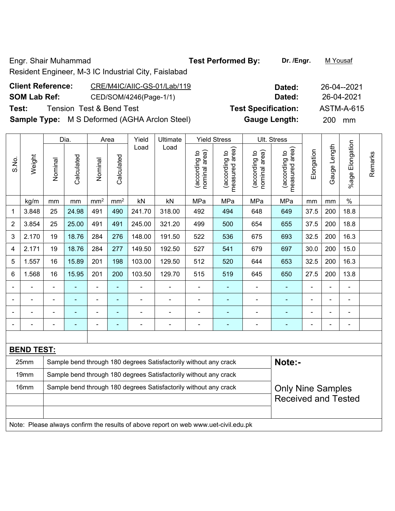Engr. Shair Muhammad **Test Performed By:** Dr. /Engr. M Yousaf

# Resident Engineer, M-3 IC Industrial City, Faislabad

| <b>Client Reference:</b> | CRE/M4IC/AIIC-GS-01/Lab/119                          | Dated:                     | 26-04--2021 |
|--------------------------|------------------------------------------------------|----------------------------|-------------|
| <b>SOM Lab Ref:</b>      | CED/SOM/4246(Page-1/1)                               | Dated:                     | 26-04-2021  |
| Test:                    | Tension Test & Bend Test                             | <b>Test Specification:</b> | ASTM-A-615  |
|                          | <b>Sample Type:</b> M S Deformed (AGHA Arclon Steel) | <b>Gauge Length:</b>       | 200 mm      |

|                |                   |                | Dia.                     | Area            |                 | Yield          | Ultimate                                                         |                                | <b>Yield Stress</b>             |                                | Ult. Stress                     |                |                              |                 |         |
|----------------|-------------------|----------------|--------------------------|-----------------|-----------------|----------------|------------------------------------------------------------------|--------------------------------|---------------------------------|--------------------------------|---------------------------------|----------------|------------------------------|-----------------|---------|
| S.No.          | Weight            | Nominal        | Calculated               | Nominal         | Calculated      | Load           | Load                                                             | nominal area)<br>(according to | measured area)<br>(according to | nominal area)<br>(according to | measured area)<br>(according to | Elongation     | Gauge Length                 | %age Elongation | Remarks |
|                | kg/m              | mm             | mm                       | mm <sup>2</sup> | mm <sup>2</sup> | kN             | kN                                                               | MPa                            | MPa                             | MPa                            | MPa                             | mm             | mm                           | $\%$            |         |
| 1              | 3.848             | 25             | 24.98                    | 491             | 490             | 241.70         | 318.00                                                           | 492                            | 494                             | 648                            | 649                             | 37.5           | 200                          | 18.8            |         |
| $\overline{2}$ | 3.854             | 25             | 25.00                    | 491             | 491             | 245.00         | 321.20                                                           | 499                            | 500                             | 654                            | 655                             | 37.5           | 200                          | 18.8            |         |
| 3              | 2.170             | 19             | 18.76                    | 284             | 276             | 148.00         | 191.50                                                           | 522                            | 536                             | 675                            | 693                             | 32.5           | 200                          | 16.3            |         |
| 4              | 2.171             | 19             | 18.76                    | 284             | 277             | 149.50         | 192.50                                                           | 527                            | 541                             | 679                            | 697                             | 30.0           | 200                          | 15.0            |         |
| 5              | 1.557             | 16             | 15.89                    | 201             | 198             | 103.00         | 129.50                                                           | 512                            | 520                             | 644                            | 653                             | 32.5           | 200                          | 16.3            |         |
| 6              | 1.568             | 16             | 15.95                    | 201             | 200             | 103.50         | 129.70                                                           | 515                            | 519                             | 645                            | 650                             | 27.5           | 200                          | 13.8            |         |
|                |                   | Ē,             | ÷                        | $\blacksquare$  | $\blacksquare$  | ÷,             | ä,                                                               | $\blacksquare$                 | $\blacksquare$                  | ä,                             |                                 | $\blacksquare$ | $\blacksquare$               | $\blacksquare$  |         |
|                |                   | $\blacksquare$ | ۰                        | $\blacksquare$  | $\blacksquare$  | $\blacksquare$ | $\overline{a}$                                                   | $\blacksquare$                 | $\blacksquare$                  | ÷                              | ÷                               | $\blacksquare$ | $\blacksquare$               | $\blacksquare$  |         |
|                |                   |                |                          |                 |                 |                |                                                                  | $\blacksquare$                 |                                 |                                |                                 |                | $\blacksquare$               | $\blacksquare$  |         |
|                |                   |                | $\overline{\phantom{0}}$ | ۰               | ۰               | ۰              | ÷                                                                | $\blacksquare$                 | ۳                               | -                              |                                 |                | $\qquad \qquad \blacksquare$ | $\blacksquare$  |         |
|                |                   |                |                          |                 |                 |                |                                                                  |                                |                                 |                                |                                 |                |                              |                 |         |
|                | <b>BEND TEST:</b> |                |                          |                 |                 |                |                                                                  |                                |                                 |                                |                                 |                |                              |                 |         |
|                | 25mm              |                |                          |                 |                 |                | Sample bend through 180 degrees Satisfactorily without any crack |                                |                                 |                                | Note:-                          |                |                              |                 |         |
|                | 19mm              |                |                          |                 |                 |                | Sample bend through 180 degrees Satisfactorily without any crack |                                |                                 |                                |                                 |                |                              |                 |         |
|                | 16 <sub>mm</sub>  |                |                          |                 |                 |                | Sample bend through 180 degrees Satisfactorily without any crack |                                |                                 |                                | <b>Only Nine Samples</b>        |                |                              |                 |         |
|                |                   |                |                          |                 |                 |                |                                                                  |                                |                                 |                                | <b>Received and Tested</b>      |                |                              |                 |         |
|                |                   |                |                          |                 |                 |                |                                                                  |                                |                                 |                                |                                 |                |                              |                 |         |

Note: Please always confirm the results of above report on web www.uet-civil.edu.pk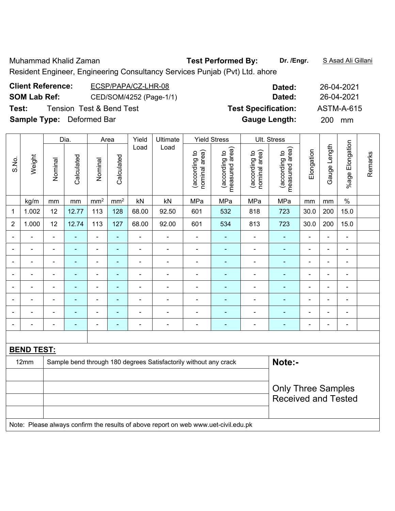Muhammad Khalid Zaman **Test Performed By: Dr. /Engr.** S Asad Ali Gillani

Resident Engineer, Engineering Consultancy Services Punjab (Pvt) Ltd. ahore

| <b>Client Reference:</b>         | ECSP/PAPA/CZ-LHR-08      | Dated:                     | 26-04-2021 |
|----------------------------------|--------------------------|----------------------------|------------|
| <b>SOM Lab Ref:</b>              | CED/SOM/4252 (Page-1/1)  | Dated:                     | 26-04-2021 |
| Test:                            | Tension Test & Bend Test | <b>Test Specification:</b> | ASTM-A-615 |
| <b>Sample Type:</b> Deformed Bar |                          | <b>Gauge Length:</b>       | 200 mm     |

|                          |                          |                | Dia.                     |                          | Area                     | Yield          | <b>Ultimate</b>                                                                     |                                | <b>Yield Stress</b>             |                                | <b>Ult. Stress</b>              |                |                |                          |         |
|--------------------------|--------------------------|----------------|--------------------------|--------------------------|--------------------------|----------------|-------------------------------------------------------------------------------------|--------------------------------|---------------------------------|--------------------------------|---------------------------------|----------------|----------------|--------------------------|---------|
| S.No.                    | Weight                   | Nominal        | Calculated               | Nominal                  | Calculated               | Load           | Load                                                                                | nominal area)<br>(according to | measured area)<br>(according to | (according to<br>nominal area) | measured area)<br>(according to | Elongation     | Gauge Length   | %age Elongation          | Remarks |
|                          | kg/m                     | mm             | mm                       | mm <sup>2</sup>          | mm <sup>2</sup>          | kN             | kN                                                                                  | MPa                            | MPa                             | MPa                            | MPa                             | mm             | mm             | $\%$                     |         |
| 1                        | 1.002                    | 12             | 12.77                    | 113                      | 128                      | 68.00          | 92.50                                                                               | 601                            | 532                             | 818                            | 723                             | 30.0           | 200            | 15.0                     |         |
| $\overline{2}$           | 1.000                    | 12             | 12.74                    | 113                      | 127                      | 68.00          | 92.00                                                                               | 601                            | 534                             | 813                            | 723                             | 30.0           | 200            | 15.0                     |         |
|                          |                          |                |                          | ÷,                       | ÷,                       | ÷              |                                                                                     |                                |                                 |                                | $\blacksquare$                  |                | L,             | ä,                       |         |
| ۰                        |                          | $\blacksquare$ | ۰                        | $\overline{\phantom{0}}$ |                          | $\blacksquare$ | $\blacksquare$                                                                      | $\blacksquare$                 | ۰                               | $\blacksquare$                 | ٠                               |                | $\blacksquare$ | $\overline{\phantom{0}}$ |         |
| $\blacksquare$           |                          | $\blacksquare$ | ۰                        | $\overline{\phantom{0}}$ | ٠                        | $\blacksquare$ | ٠                                                                                   |                                |                                 |                                | ۰                               |                | Ē,             | $\blacksquare$           |         |
| $\blacksquare$           | $\overline{\phantom{0}}$ | Ē,             | ۰                        | $\blacksquare$           | ٠                        | $\blacksquare$ | $\blacksquare$                                                                      | $\blacksquare$                 | ۰                               | $\blacksquare$                 | ۰                               | $\blacksquare$ | L,             | ÷                        |         |
| $\overline{\phantom{a}}$ | ۰                        | $\blacksquare$ | $\blacksquare$           | $\blacksquare$           | $\blacksquare$           | ÷              | $\blacksquare$                                                                      | $\blacksquare$                 | ä,                              | $\blacksquare$                 | ÷,                              | $\blacksquare$ | Ē,             | ÷                        |         |
| $\overline{\phantom{0}}$ | $\overline{\phantom{0}}$ | $\blacksquare$ | $\overline{\phantom{0}}$ | $\blacksquare$           | $\overline{\phantom{0}}$ | $\blacksquare$ | $\overline{a}$                                                                      | $\blacksquare$                 | ۰                               | $\blacksquare$                 | Ē.                              |                | $\blacksquare$ | $\blacksquare$           |         |
|                          |                          |                | $\blacksquare$           | $\blacksquare$           | $\blacksquare$           |                | $\blacksquare$                                                                      |                                |                                 |                                | ÷                               |                | Ē,             | $\blacksquare$           |         |
|                          |                          |                |                          | $\overline{\phantom{0}}$ | $\blacksquare$           |                | ٠                                                                                   |                                | ۰                               |                                | Ē.                              |                | $\blacksquare$ | $\overline{\phantom{0}}$ |         |
|                          |                          |                |                          |                          |                          |                |                                                                                     |                                |                                 |                                |                                 |                |                |                          |         |
|                          | <b>BEND TEST:</b>        |                |                          |                          |                          |                |                                                                                     |                                |                                 |                                |                                 |                |                |                          |         |
|                          | 12mm                     |                |                          |                          |                          |                | Sample bend through 180 degrees Satisfactorily without any crack                    |                                |                                 |                                | Note:-                          |                |                |                          |         |
|                          |                          |                |                          |                          |                          |                |                                                                                     |                                |                                 |                                |                                 |                |                |                          |         |
|                          |                          |                |                          |                          |                          |                |                                                                                     |                                |                                 |                                | <b>Only Three Samples</b>       |                |                |                          |         |
|                          |                          |                |                          |                          |                          |                |                                                                                     |                                |                                 |                                | <b>Received and Tested</b>      |                |                |                          |         |
|                          |                          |                |                          |                          |                          |                |                                                                                     |                                |                                 |                                |                                 |                |                |                          |         |
|                          |                          |                |                          |                          |                          |                | Note: Please always confirm the results of above report on web www.uet-civil.edu.pk |                                |                                 |                                |                                 |                |                |                          |         |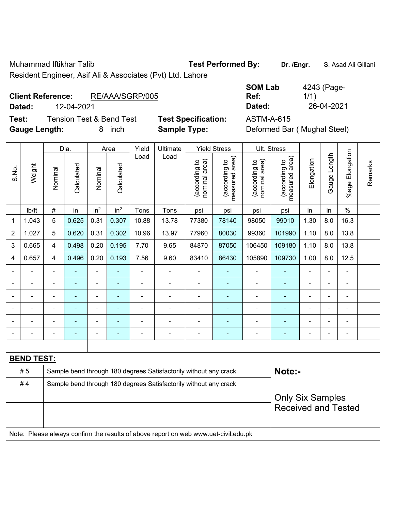Muhammad Iftikhar Talib **Test Performed By:** Dr. /Engr. S. Asad Ali Gillani Resident Engineer, Asif Ali & Associates (Pvt) Ltd. Lahore

### **Client Reference:** RE/AAA/SGRP/005

**Test:** Tension Test & Bend Test **Test Specification:** ASTM-A-615

**SOM Lab Ref: Dated:** 12-04-2021 **Dated:** 26-04-2021

**Gauge Length:** 8 inch **Sample Type:** Deformed Bar ( Mughal Steel) Dia. | Area | Yield | Ultimate | Yield Stress | Ult. Stress  $L$ ength Gauge Length Load Load measured area) measured area) g to<br>area) o<br>drea) ation **Elongation** nominal area) nominal area) o pale (according to (according to o<br>area (according to (according to

|                          |                   |                | Dia.       |                          | Area            | Yield          | Ultimate                                                         |                               | Yield Stress                    |                                | Ult. Stress                     |                |                |                       |         |
|--------------------------|-------------------|----------------|------------|--------------------------|-----------------|----------------|------------------------------------------------------------------|-------------------------------|---------------------------------|--------------------------------|---------------------------------|----------------|----------------|-----------------------|---------|
| S.No.                    | Weight            | Nominal        | Calculated | Nominal                  | Calculated      | Load           | Load                                                             | nominal area)<br>decording to | measured area)<br>(according to | nominal area)<br>(according to | measured area)<br>(according to | Elongation     | Gauge Length   | Elongation<br>$%$ age | Remarks |
|                          | lb/ft             | $\#$           | in         | in <sup>2</sup>          | in <sup>2</sup> | Tons           | Tons                                                             | psi                           | psi                             | psi                            | psi                             | in             | in             | $\%$                  |         |
| 1                        | 1.043             | 5              | 0.625      | 0.31                     | 0.307           | 10.88          | 13.78                                                            | 77380                         | 78140                           | 98050                          | 99010                           | 1.30           | 8.0            | 16.3                  |         |
| $\boldsymbol{2}$         | 1.027             | 5              | 0.620      | 0.31                     | 0.302           | 10.96          | 13.97                                                            | 77960                         | 80030                           | 99360                          | 101990                          | 1.10           | 8.0            | 13.8                  |         |
| 3                        | 0.665             | $\overline{4}$ | 0.498      | 0.20                     | 0.195           | 7.70           | 9.65                                                             | 84870                         | 87050                           | 106450                         | 109180                          | 1.10           | 8.0            | 13.8                  |         |
| 4                        | 0.657             | 4              | 0.496      | 0.20                     | 0.193           | 7.56           | 9.60                                                             | 83410                         | 86430                           | 105890                         | 109730                          | 1.00           | 8.0            | 12.5                  |         |
| $\overline{\phantom{a}}$ |                   | $\blacksquare$ |            | $\blacksquare$           | ä,              |                | $\overline{\phantom{a}}$                                         | $\blacksquare$                | $\blacksquare$                  | $\blacksquare$                 |                                 | $\blacksquare$ |                | $\blacksquare$        |         |
|                          |                   |                |            |                          | ÷.              |                |                                                                  | $\blacksquare$                | ٠                               | $\blacksquare$                 |                                 |                |                |                       |         |
| $\overline{\phantom{a}}$ |                   |                |            |                          | ÷               | $\blacksquare$ | ÷                                                                | $\blacksquare$                | ÷                               | ٠                              | ۰                               |                | $\blacksquare$ | $\blacksquare$        |         |
| $\blacksquare$           | Ē,                |                |            | $\overline{\phantom{0}}$ | ۰               | $\blacksquare$ | ÷                                                                | $\blacksquare$                | ÷                               | $\overline{a}$                 |                                 | $\blacksquare$ |                | $\blacksquare$        |         |
|                          |                   |                |            |                          |                 |                |                                                                  |                               | ÷                               |                                |                                 |                |                |                       |         |
|                          |                   |                |            |                          | ÷               |                | ÷                                                                | $\blacksquare$                | ۰                               | ۰                              | ۰                               |                |                | $\blacksquare$        |         |
|                          |                   |                |            |                          |                 |                |                                                                  |                               |                                 |                                |                                 |                |                |                       |         |
|                          | <u>BEND TEST:</u> |                |            |                          |                 |                |                                                                  |                               |                                 |                                |                                 |                |                |                       |         |
|                          | #5                |                |            |                          |                 |                | Sample bend through 180 degrees Satisfactorily without any crack |                               |                                 |                                | Note:-                          |                |                |                       |         |
|                          | #4                |                |            |                          |                 |                | Sample bend through 180 degrees Satisfactorily without any crack |                               |                                 |                                |                                 |                |                |                       |         |
|                          |                   |                |            |                          |                 |                |                                                                  |                               |                                 |                                | <b>Only Six Samples</b>         |                |                |                       |         |
|                          |                   |                |            |                          |                 |                |                                                                  |                               |                                 |                                | <b>Received and Tested</b>      |                |                |                       |         |
|                          |                   |                |            |                          |                 |                |                                                                  |                               |                                 |                                |                                 |                |                |                       |         |
|                          |                   |                |            |                          |                 |                |                                                                  |                               |                                 |                                |                                 |                |                |                       |         |

Note: Please always confirm the results of above report on web www.uet-civil.edu.pk

4243 (Page-

1/1)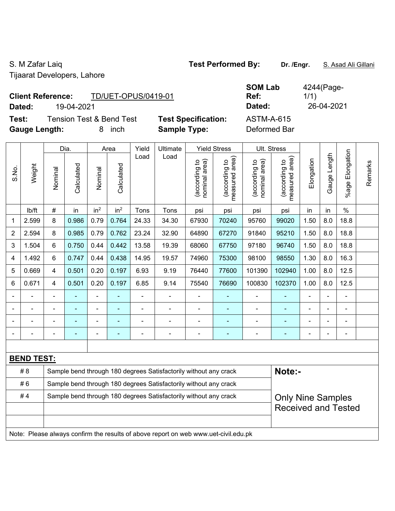Tijaarat Developers, Lahore

# S. M Zafar Laiq **Test Performed By:** Dr. /Engr. **S. Asad Ali Gillani** S. M. Zafar Laiq

**Test:** Tension Test & Bend Test **Test Specification: Gauge Length:** 8 inch **Sample Type:** Deformed Bar

| <b>Client Reference:</b> | TD/UET-OPUS/0419-01      |                            | <b>SOM Lab</b><br>Ref: | 4244 (Page-<br>1/1) |
|--------------------------|--------------------------|----------------------------|------------------------|---------------------|
| Dated:                   | 19-04-2021               |                            | Dated:                 | 26-04-2021          |
| Test:                    | Tension Test & Bend Test | <b>Test Specification:</b> | ASTM-A-615             |                     |

|                |                   |                                                                  | Dia.           |                 | Area            | Yield          | Ultimate                                                                            |                                | <b>Yield Stress</b>             |                                | Ult. Stress                                 |                |                |                       |         |
|----------------|-------------------|------------------------------------------------------------------|----------------|-----------------|-----------------|----------------|-------------------------------------------------------------------------------------|--------------------------------|---------------------------------|--------------------------------|---------------------------------------------|----------------|----------------|-----------------------|---------|
| S.No.          | Weight            | Nominal                                                          | Calculated     | Nominal         | Calculated      | Load           | Load                                                                                | nominal area)<br>(according to | (according to<br>measured area) | (according to<br>nominal area) | (according to<br>measured area)<br>measured | Elongation     | Gauge Length   | Elongation<br>$%$ age | Remarks |
|                | lb/ft             | #                                                                | in             | in <sup>2</sup> | in <sup>2</sup> | Tons           | Tons                                                                                | psi                            | psi                             | psi                            | psi                                         | in             | in             | $\%$                  |         |
| 1              | 2.599             | 8                                                                | 0.986          | 0.79            | 0.764           | 24.33          | 34.30                                                                               | 67930                          | 70240                           | 95760                          | 99020                                       | 1.50           | 8.0            | 18.8                  |         |
| $\overline{2}$ | 2.594             | 8                                                                | 0.985          | 0.79            | 0.762           | 23.24          | 32.90                                                                               | 64890                          | 67270                           | 91840                          | 95210                                       | 1.50           | 8.0            | 18.8                  |         |
| 3              | 1.504             | 6                                                                | 0.750          | 0.44            | 0.442           | 13.58          | 19.39                                                                               | 68060                          | 67750                           | 97180                          | 96740                                       | 1.50           | 8.0            | 18.8                  |         |
| 4              | 1.492             | 6                                                                | 0.747          | 0.44            | 0.438           | 14.95          | 19.57                                                                               | 74960                          | 75300                           | 98100                          | 98550                                       | 1.30           | 8.0            | 16.3                  |         |
| 5              | 0.669             | 4                                                                | 0.501          | 0.20            | 0.197           | 6.93           | 9.19                                                                                | 76440                          | 77600                           | 101390                         | 102940                                      | 1.00           | 8.0            | 12.5                  |         |
| 6              | 0.671             | $\overline{4}$                                                   | 0.501          | 0.20            | 0.197           | 6.85           | 9.14                                                                                | 75540                          | 76690                           | 100830                         | 102370                                      | 1.00           | 8.0            | 12.5                  |         |
|                |                   |                                                                  |                |                 |                 |                | $\blacksquare$                                                                      | L,                             |                                 | ä,                             |                                             |                |                |                       |         |
| $\blacksquare$ | $\blacksquare$    |                                                                  | $\blacksquare$ | $\blacksquare$  | ٠               | $\blacksquare$ | $\blacksquare$                                                                      | $\blacksquare$                 | $\blacksquare$                  | $\frac{1}{2}$                  | ÷                                           | $\blacksquare$ | $\blacksquare$ | $\blacksquare$        |         |
|                |                   |                                                                  |                |                 |                 | Ē,             | ÷                                                                                   | Ē,                             | $\blacksquare$                  | $\blacksquare$                 | ÷                                           | L,             |                | $\blacksquare$        |         |
|                | ÷                 |                                                                  |                | $\overline{a}$  |                 | Ē,             | $\blacksquare$                                                                      | $\blacksquare$                 | $\blacksquare$                  | $\blacksquare$                 | ÷                                           | Ē,             |                | ä,                    |         |
|                |                   |                                                                  |                |                 |                 |                |                                                                                     |                                |                                 |                                |                                             |                |                |                       |         |
|                | <b>BEND TEST:</b> |                                                                  |                |                 |                 |                |                                                                                     |                                |                                 |                                |                                             |                |                |                       |         |
|                | # 8               |                                                                  |                |                 |                 |                | Sample bend through 180 degrees Satisfactorily without any crack                    |                                |                                 |                                | Note:-                                      |                |                |                       |         |
|                | #6                | Sample bend through 180 degrees Satisfactorily without any crack |                |                 |                 |                |                                                                                     |                                |                                 |                                |                                             |                |                |                       |         |
|                | #4                |                                                                  |                |                 |                 |                | Sample bend through 180 degrees Satisfactorily without any crack                    |                                |                                 |                                | <b>Only Nine Samples</b>                    |                |                |                       |         |
|                |                   |                                                                  |                |                 |                 |                |                                                                                     |                                |                                 |                                | <b>Received and Tested</b>                  |                |                |                       |         |
|                |                   |                                                                  |                |                 |                 |                |                                                                                     |                                |                                 |                                |                                             |                |                |                       |         |
|                |                   |                                                                  |                |                 |                 |                | Note: Please always confirm the results of above report on web www.uet-civil.edu.pk |                                |                                 |                                |                                             |                |                |                       |         |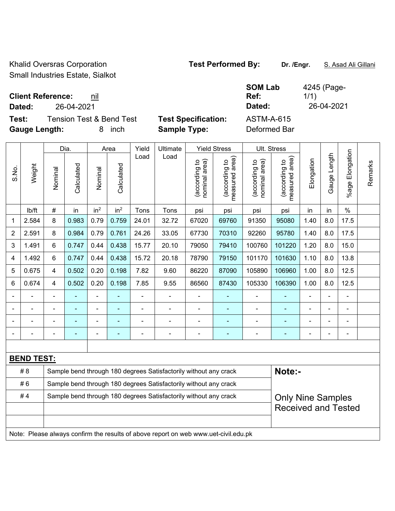Khalid Oversras Corporation **Test Performed By:** Dr. /Engr. **S. Asad Ali Gillani** Small Industries Estate, Sialkot

4245 (Page-

1/1)

**Client Reference:** nil

**Dated:** 26-04-2021 **Dated:** 26-04-2021

**Test:** Tension Test & Bend Test **Test Specification:** ASTM-A-615 **Gauge Length:** 8 inch **Sample Type:** Deformed Bar

**SOM Lab Ref:** 

|                |                   |                                                                  | Dia.<br>Yield<br><b>Yield Stress</b><br>Ult. Stress<br>Area<br>Ultimate<br>Load<br>Load |                 |                          |                |                                                                                     |                                |                                            |                                |                                 |            |                          |                       |         |
|----------------|-------------------|------------------------------------------------------------------|-----------------------------------------------------------------------------------------|-----------------|--------------------------|----------------|-------------------------------------------------------------------------------------|--------------------------------|--------------------------------------------|--------------------------------|---------------------------------|------------|--------------------------|-----------------------|---------|
| S.No.          | Weight            | Nominal                                                          | Calculated                                                                              | Nominal         | Calculated               |                |                                                                                     | nominal area)<br>(according to | (acording to<br>neasured area)<br>measured | (according to<br>nominal area) | (according to<br>measured area) | Elongation | Gauge Length             | Elongation<br>$%$ age | Remarks |
|                | lb/ft             | $\#$                                                             | in                                                                                      | in <sup>2</sup> | in <sup>2</sup>          | Tons           | Tons                                                                                | psi                            | psi                                        | psi                            | psi                             | in         | in                       | $\frac{0}{0}$         |         |
| 1              | 2.584             | 8                                                                | 0.983                                                                                   | 0.79            | 0.759                    | 24.01          | 32.72                                                                               | 67020                          | 69760                                      | 91350                          | 95080                           | 1.40       | 8.0                      | 17.5                  |         |
| $\overline{c}$ | 2.591             | 8                                                                | 0.984                                                                                   | 0.79            | 0.761                    | 24.26          | 33.05                                                                               | 67730                          | 70310                                      | 92260                          | 95780                           | 1.40       | 8.0                      | 17.5                  |         |
| $\mathfrak{B}$ | 1.491             | $6\phantom{1}$                                                   | 0.747                                                                                   | 0.44            | 0.438                    | 15.77          | 20.10                                                                               | 79050                          | 79410                                      | 100760                         | 101220                          | 1.20       | 8.0                      | 15.0                  |         |
| 4              | 1.492             | $6\phantom{1}$                                                   | 0.747                                                                                   | 0.44            | 0.438                    | 15.72          | 20.18                                                                               | 78790                          | 79150                                      | 101170                         | 101630                          | 1.10       | 8.0                      | 13.8                  |         |
| 5              | 0.675             | $\overline{4}$                                                   | 0.502                                                                                   | 0.20            | 0.198                    | 7.82           | 9.60                                                                                | 86220                          | 87090                                      | 105890                         | 106960                          | 1.00       | 8.0                      | 12.5                  |         |
| 6              | 0.674             | $\overline{4}$                                                   | 0.502                                                                                   | 0.20            | 0.198                    | 7.85           | 9.55                                                                                | 86560                          | 87430                                      | 105330                         | 106390                          | 1.00       | 8.0                      | 12.5                  |         |
|                |                   |                                                                  |                                                                                         | $\blacksquare$  |                          |                |                                                                                     |                                |                                            |                                |                                 |            |                          | $\blacksquare$        |         |
|                |                   | $\blacksquare$                                                   | ۰                                                                                       | $\blacksquare$  | $\overline{\phantom{0}}$ | $\blacksquare$ | $\overline{\phantom{a}}$                                                            | $\overline{\phantom{0}}$       | $\blacksquare$                             | $\blacksquare$                 | ۰                               | ۰          | $\overline{\phantom{0}}$ | $\blacksquare$        |         |
|                |                   |                                                                  |                                                                                         | $\blacksquare$  |                          |                | $\blacksquare$                                                                      | $\overline{\phantom{0}}$       | $\blacksquare$                             | $\blacksquare$                 | ۰                               |            |                          | $\blacksquare$        |         |
|                |                   | L,                                                               |                                                                                         | ÷,              | $\blacksquare$           | ÷              | $\blacksquare$                                                                      | ÷,                             | $\blacksquare$                             | $\overline{a}$                 | ÷                               | ÷          |                          | $\blacksquare$        |         |
|                |                   |                                                                  |                                                                                         |                 |                          |                |                                                                                     |                                |                                            |                                |                                 |            |                          |                       |         |
|                | <b>BEND TEST:</b> |                                                                  |                                                                                         |                 |                          |                |                                                                                     |                                |                                            |                                |                                 |            |                          |                       |         |
|                | # 8               |                                                                  |                                                                                         |                 |                          |                | Sample bend through 180 degrees Satisfactorily without any crack                    |                                |                                            |                                | Note:-                          |            |                          |                       |         |
|                | #6                | Sample bend through 180 degrees Satisfactorily without any crack |                                                                                         |                 |                          |                |                                                                                     |                                |                                            |                                |                                 |            |                          |                       |         |
|                | #4                |                                                                  |                                                                                         |                 |                          |                | Sample bend through 180 degrees Satisfactorily without any crack                    |                                |                                            |                                | <b>Only Nine Samples</b>        |            |                          |                       |         |
|                |                   |                                                                  |                                                                                         |                 |                          |                |                                                                                     |                                |                                            |                                | <b>Received and Tested</b>      |            |                          |                       |         |
|                |                   |                                                                  |                                                                                         |                 |                          |                |                                                                                     |                                |                                            |                                |                                 |            |                          |                       |         |
|                |                   |                                                                  |                                                                                         |                 |                          |                | Note: Please always confirm the results of above report on web www.uet-civil.edu.pk |                                |                                            |                                |                                 |            |                          |                       |         |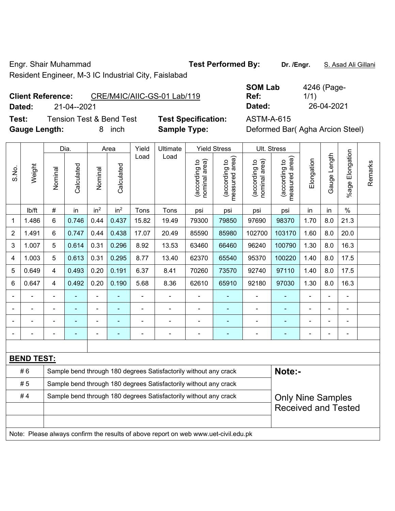Engr. Shair Muhammad **Test Performed By: Dr. /Engr.** S. Asad Ali Gillani

Resident Engineer, M-3 IC Industrial City, Faislabad

# **Client Reference:** CRE/M4IC/AIIC-GS-01 Lab/119

**Dated:** 21-04--2021 **Dated:** 26-04-2021

**Test:** Tension Test & Bend Test **Test Specification:** ASTM-A-615

| <b>SOM Lab</b> | 4246 (Page- |
|----------------|-------------|
| Ref:           | 1/1)        |
| Dated:         | 26-04-2021  |

**Gauge Length:** 8 inch **Sample Type:** Deformed Bar( Agha Arcion Steel)

|                |                   |                                                                  | Dia.           |                 | Area            | Yield | Ultimate                                                                            |                                | <b>Yield Stress</b>                         |                                | Ult. Stress                     |                |                |                          |         |
|----------------|-------------------|------------------------------------------------------------------|----------------|-----------------|-----------------|-------|-------------------------------------------------------------------------------------|--------------------------------|---------------------------------------------|--------------------------------|---------------------------------|----------------|----------------|--------------------------|---------|
| S.No.          | Weight            | Nominal                                                          | Calculated     | Nominal         | Calculated      | Load  | Load                                                                                | (according to<br>nominal area) | (according to<br>neasured area)<br>measured | (according to<br>nominal area) | (according to<br>measured area) | Elongation     | Gauge Length   | Elongation<br>$%$ age    | Remarks |
|                | lb/ft             | $\#$                                                             | in             | in <sup>2</sup> | in <sup>2</sup> | Tons  | Tons                                                                                | psi                            | psi                                         | psi                            | psi                             | in             | in             | $\%$                     |         |
| 1              | 1.486             | 6                                                                | 0.746          | 0.44            | 0.437           | 15.82 | 19.49                                                                               | 79300                          | 79850                                       | 97690                          | 98370                           | 1.70           | 8.0            | 21.3                     |         |
| $\overline{2}$ | 1.491             | 6                                                                | 0.747          | 0.44            | 0.438           | 17.07 | 20.49                                                                               | 85590                          | 85980                                       | 102700                         | 103170                          | 1.60           | 8.0            | 20.0                     |         |
| 3              | 1.007             | 5                                                                | 0.614          | 0.31            | 0.296           | 8.92  | 13.53                                                                               | 63460                          | 66460                                       | 96240                          | 100790                          | 1.30           | 8.0            | 16.3                     |         |
| 4              | 1.003             | 5                                                                | 0.613          | 0.31            | 0.295           | 8.77  | 13.40                                                                               | 62370                          | 65540                                       | 95370                          | 100220                          | 1.40           | 8.0            | 17.5                     |         |
| 5              | 0.649             | 4                                                                | 0.493          | 0.20            | 0.191           | 6.37  | 8.41                                                                                | 70260                          | 73570                                       | 92740                          | 97110                           | 1.40           | 8.0            | 17.5                     |         |
| 6              | 0.647             | 4                                                                | 0.492          | 0.20            | 0.190           | 5.68  | 8.36                                                                                | 62610                          | 65910                                       | 92180                          | 97030                           | 1.30           | 8.0            | 16.3                     |         |
|                |                   |                                                                  |                | -               |                 | L,    |                                                                                     | $\blacksquare$                 | ÷,                                          | $\blacksquare$                 |                                 |                | ä,             | ÷,                       |         |
|                |                   |                                                                  |                |                 |                 |       |                                                                                     |                                |                                             | $\blacksquare$                 | ٠                               |                |                | $\blacksquare$           |         |
|                |                   |                                                                  |                | $\blacksquare$  |                 |       | $\blacksquare$                                                                      | $\blacksquare$                 | $\blacksquare$                              | $\blacksquare$                 | $\blacksquare$                  |                |                | $\blacksquare$           |         |
|                |                   |                                                                  | $\blacksquare$ | ÷,              | $\blacksquare$  | Ĭ.    | ÷,                                                                                  | $\blacksquare$                 | $\blacksquare$                              | $\overline{a}$                 | $\blacksquare$                  | $\blacksquare$ | $\blacksquare$ | $\overline{\phantom{a}}$ |         |
|                |                   |                                                                  |                |                 |                 |       |                                                                                     |                                |                                             |                                |                                 |                |                |                          |         |
|                | <b>BEND TEST:</b> |                                                                  |                |                 |                 |       |                                                                                     |                                |                                             |                                |                                 |                |                |                          |         |
|                | #6                |                                                                  |                |                 |                 |       | Sample bend through 180 degrees Satisfactorily without any crack                    |                                |                                             |                                | Note:-                          |                |                |                          |         |
|                | #5                | Sample bend through 180 degrees Satisfactorily without any crack |                |                 |                 |       |                                                                                     |                                |                                             |                                |                                 |                |                |                          |         |
|                | #4                |                                                                  |                |                 |                 |       | Sample bend through 180 degrees Satisfactorily without any crack                    |                                |                                             |                                | <b>Only Nine Samples</b>        |                |                |                          |         |
|                |                   |                                                                  |                |                 |                 |       |                                                                                     |                                |                                             |                                | <b>Received and Tested</b>      |                |                |                          |         |
|                |                   |                                                                  |                |                 |                 |       |                                                                                     |                                |                                             |                                |                                 |                |                |                          |         |
|                |                   |                                                                  |                |                 |                 |       | Note: Please always confirm the results of above report on web www.uet-civil.edu.pk |                                |                                             |                                |                                 |                |                |                          |         |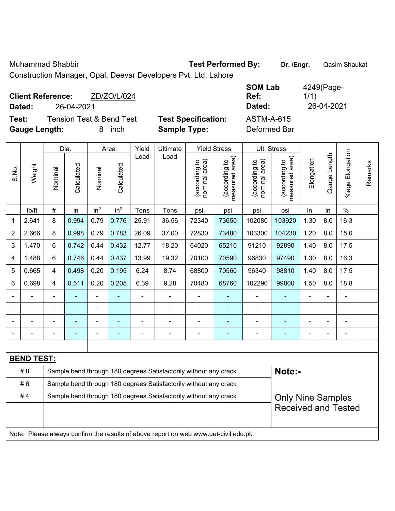Muhammad Shabbir **Test Performed By: Dr. /Engr.** Qasim Shaukat

Construction Manager, Opal, Deevar Developers Pvt. Ltd. Lahore

| <b>Client Reference:</b><br>Dated:<br>26-04-2021 | ZD/ZO/L/024                         |                            | <b>SOM Lab</b><br>Ref:<br>Dated: | 4249(Page-<br>1/1)<br>26-04-2021 |
|--------------------------------------------------|-------------------------------------|----------------------------|----------------------------------|----------------------------------|
| Test:                                            | <b>Tension Test &amp; Bend Test</b> | <b>Test Specification:</b> | <b>ASTM-A-615</b>                |                                  |
| <b>Gauge Length:</b>                             | inch<br>8.                          | <b>Sample Type:</b>        | Deformed Bar                     |                                  |

|                |                   |         | Dia.       |                 | Area            | Yield          | Ultimate                                                                            |                                | <b>Yield Stress</b>                         |                                | Ult. Stress                     |            |                |                       |         |
|----------------|-------------------|---------|------------|-----------------|-----------------|----------------|-------------------------------------------------------------------------------------|--------------------------------|---------------------------------------------|--------------------------------|---------------------------------|------------|----------------|-----------------------|---------|
| S.No.          | Weight            | Nominal | Calculated | Nominal         | Calculated      | Load           | Load                                                                                | nominal area)<br>(according to | (according to<br>measured area)<br>measured | nominal area)<br>(according to | (according to<br>measured area) | Elongation | Gauge Length   | Elongation<br>$%$ age | Remarks |
|                | lb/ft             | #       | in         | in <sup>2</sup> | in <sup>2</sup> | Tons           | Tons                                                                                | psi                            | psi                                         | psi                            | psi                             | in         | in             | $\%$                  |         |
| 1              | 2.641             | 8       | 0.994      | 0.79            | 0.776           | 25.91          | 36.56                                                                               | 72340                          | 73650                                       | 102080                         | 103920                          | 1.30       | 8.0            | 16.3                  |         |
| $\overline{2}$ | 2.666             | 8       | 0.998      | 0.79            | 0.783           | 26.09          | 37.00                                                                               | 72830                          | 73480                                       | 103300                         | 104230                          | 1.20       | 8.0            | 15.0                  |         |
| 3              | 1.470             | 6       | 0.742      | 0.44            | 0.432           | 12.77          | 18.20                                                                               | 64020                          | 65210                                       | 91210                          | 92890                           | 1.40       | 8.0            | 17.5                  |         |
| 4              | 1.488             | 6       | 0.746      | 0.44            | 0.437           | 13.99          | 19.32                                                                               | 70100                          | 70590                                       | 96830                          | 97490                           | 1.30       | 8.0            | 16.3                  |         |
| 5              | 0.665             | 4       | 0.498      | 0.20            | 0.195           | 6.24           | 8.74                                                                                | 68800                          | 70560                                       | 96340                          | 98810                           | 1.40       | 8.0            | 17.5                  |         |
| 6              | 0.698             | 4       | 0.511      | 0.20            | 0.205           | 6.39           | 9.28                                                                                | 70480                          | 68760                                       | 102290                         | 99800                           | 1.50       | 8.0            | 18.8                  |         |
|                |                   |         |            | $\blacksquare$  |                 |                | $\blacksquare$                                                                      |                                |                                             | $\blacksquare$                 |                                 |            |                | $\blacksquare$        |         |
|                |                   |         |            |                 |                 |                | $\blacksquare$                                                                      |                                |                                             |                                |                                 |            |                | $\blacksquare$        |         |
|                |                   |         |            | ۰               |                 |                | $\blacksquare$                                                                      | $\blacksquare$                 |                                             | ٠                              | ÷                               |            |                | $\blacksquare$        |         |
|                |                   |         |            | $\blacksquare$  |                 | $\blacksquare$ | $\blacksquare$                                                                      | $\blacksquare$                 | $\overline{\phantom{a}}$                    | Ē,                             | ۰                               |            | $\blacksquare$ | $\blacksquare$        |         |
|                |                   |         |            |                 |                 |                |                                                                                     |                                |                                             |                                |                                 |            |                |                       |         |
|                | <b>BEND TEST:</b> |         |            |                 |                 |                |                                                                                     |                                |                                             |                                |                                 |            |                |                       |         |
|                | # 8               |         |            |                 |                 |                | Sample bend through 180 degrees Satisfactorily without any crack                    |                                |                                             |                                | Note:-                          |            |                |                       |         |
|                | #6                |         |            |                 |                 |                | Sample bend through 180 degrees Satisfactorily without any crack                    |                                |                                             |                                |                                 |            |                |                       |         |
|                | #4                |         |            |                 |                 |                | Sample bend through 180 degrees Satisfactorily without any crack                    |                                |                                             |                                | <b>Only Nine Samples</b>        |            |                |                       |         |
|                |                   |         |            |                 |                 |                |                                                                                     |                                |                                             |                                | <b>Received and Tested</b>      |            |                |                       |         |
|                |                   |         |            |                 |                 |                |                                                                                     |                                |                                             |                                |                                 |            |                |                       |         |
|                |                   |         |            |                 |                 |                | Note: Please always confirm the results of above report on web www.uet-civil.edu.pk |                                |                                             |                                |                                 |            |                |                       |         |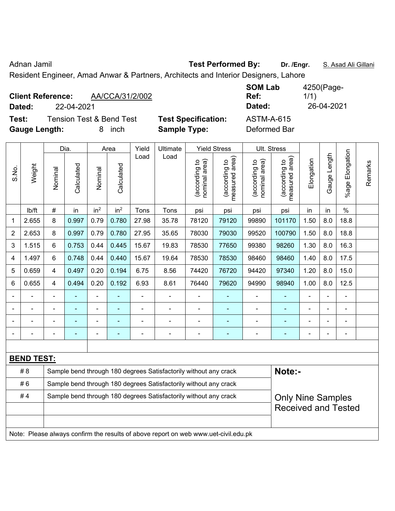Adnan Jamil **Test Performed By:** Dr. /Engr. **S. Asad Ali Gillani** Adnan Jamil

Resident Engineer, Amad Anwar & Partners, Architects and Interior Designers, Lahore

| AA/CCA/31/2/002<br><b>Client Reference:</b><br>22-04-2021<br>Dated:                 | <b>SOM Lab</b><br>Ref:<br>Dated:                                                       | 4250(Page-<br>1/1)<br>26-04-2021 |
|-------------------------------------------------------------------------------------|----------------------------------------------------------------------------------------|----------------------------------|
| <b>Tension Test &amp; Bend Test</b><br>Test:<br><b>Gauge Length:</b><br><i>inch</i> | <b>Test Specification:</b><br><b>ASTM-A-615</b><br><b>Sample Type:</b><br>Deformed Bar |                                  |

|                                                                        |                   |         | Dia.           |                 | Area            | Yield          | Ultimate                                                                            |                                | <b>Yield Stress</b>                         |                                | Ult. Stress                     |            |              |                      |         |
|------------------------------------------------------------------------|-------------------|---------|----------------|-----------------|-----------------|----------------|-------------------------------------------------------------------------------------|--------------------------------|---------------------------------------------|--------------------------------|---------------------------------|------------|--------------|----------------------|---------|
| S.No.                                                                  | Weight            | Nominal | Calculated     | Nominal         | Calculated      | Load           | Load                                                                                | nominal area)<br>(according to | (according to<br>neasured area)<br>measured | (according to<br>nominal area) | measured area)<br>(according to | Elongation | Gauge Length | Elongation<br>%age l | Remarks |
|                                                                        | lb/ft             | #       | in             | in <sup>2</sup> | in <sup>2</sup> | Tons           | Tons                                                                                | psi                            | psi                                         | psi                            | psi                             | in         | in           | $\%$                 |         |
| 1                                                                      | 2.655             | 8       | 0.997          | 0.79            | 0.780           | 27.98          | 35.78                                                                               | 78120                          | 79120                                       | 99890                          | 101170                          | 1.50       | 8.0          | 18.8                 |         |
| $\overline{2}$                                                         | 2.653             | 8       | 0.997          | 0.79            | 0.780           | 27.95          | 35.65                                                                               | 78030                          | 79030                                       | 99520                          | 100790                          | 1.50       | 8.0          | 18.8                 |         |
| 3                                                                      | 1.515             | 6       | 0.753          | 0.44            | 0.445           | 15.67          | 19.83                                                                               | 78530                          | 77650                                       | 99380                          | 98260                           | 1.30       | 8.0          | 16.3                 |         |
| 4                                                                      | 1.497             | 6       | 0.748          | 0.44            | 0.440           | 15.67          | 19.64                                                                               | 78530                          | 78530                                       | 98460                          | 98460                           | 1.40       | 8.0          | 17.5                 |         |
| 5                                                                      | 0.659             | 4       | 0.497          | 0.20            | 0.194           | 6.75           | 8.56                                                                                | 74420                          | 76720                                       | 94420                          | 97340                           | 1.20       | 8.0          | 15.0                 |         |
| 6                                                                      | 0.655             | 4       | 0.494          | 0.20            | 0.192           | 6.93           | 8.61                                                                                | 76440                          | 79620                                       | 94990                          | 98940                           | 1.00       | 8.0          | 12.5                 |         |
|                                                                        |                   |         |                | ÷               |                 |                | ä,                                                                                  |                                |                                             |                                |                                 |            |              |                      |         |
|                                                                        |                   |         |                | ä,              |                 | $\blacksquare$ | ÷.                                                                                  |                                |                                             |                                | $\blacksquare$                  |            | ÷            | $\blacksquare$       |         |
|                                                                        |                   |         |                | ۰               |                 |                | $\blacksquare$                                                                      |                                |                                             |                                | $\blacksquare$                  |            |              |                      |         |
|                                                                        |                   |         | $\blacksquare$ | $\blacksquare$  | ÷               | $\blacksquare$ | $\blacksquare$                                                                      | $\blacksquare$                 | ٠                                           |                                | ÷                               |            | ÷            | $\blacksquare$       |         |
|                                                                        |                   |         |                |                 |                 |                |                                                                                     |                                |                                             |                                |                                 |            |              |                      |         |
|                                                                        | <b>BEND TEST:</b> |         |                |                 |                 |                |                                                                                     |                                |                                             |                                |                                 |            |              |                      |         |
|                                                                        | # 8               |         |                |                 |                 |                | Sample bend through 180 degrees Satisfactorily without any crack                    |                                |                                             |                                | Note:-                          |            |              |                      |         |
|                                                                        | #6                |         |                |                 |                 |                | Sample bend through 180 degrees Satisfactorily without any crack                    |                                |                                             |                                |                                 |            |              |                      |         |
| #4<br>Sample bend through 180 degrees Satisfactorily without any crack |                   |         |                |                 |                 |                |                                                                                     |                                |                                             | <b>Only Nine Samples</b>       |                                 |            |              |                      |         |
|                                                                        |                   |         |                |                 |                 |                |                                                                                     |                                |                                             |                                | <b>Received and Tested</b>      |            |              |                      |         |
|                                                                        |                   |         |                |                 |                 |                |                                                                                     |                                |                                             |                                |                                 |            |              |                      |         |
|                                                                        |                   |         |                |                 |                 |                | Note: Please always confirm the results of above report on web www.uet-civil.edu.pk |                                |                                             |                                |                                 |            |              |                      |         |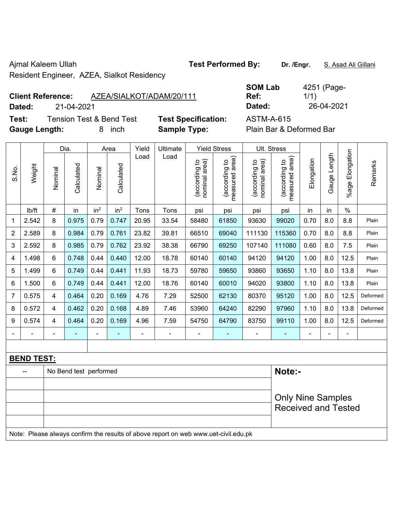Ajmal Kaleem Ullah **Test Performed By:** Dr. /Engr. **S. Asad Ali Gillani** 

Resident Engineer, AZEA, Sialkot Residency

### **Client Reference:** AZEA/SIALKOT/ADAM/20/111

**Dated:** 21-04-2021 **Dated:** 26-04-2021

**Test:** Tension Test & Bend Test **Test Specification:** ASTM-A-615 **Gauge Length:** 8 inch **Sample Type:** Plain Bar & Deformed Bar

| <b>SOM Lab</b> | 4251 (Page- |
|----------------|-------------|
| Ref:           | 1/1)        |
| Dated:         | 26-04-2021  |

|                |                   | Dia.    |                        | Area            |                 | Yield          | Ultimate                                                                            | <b>Yield Stress</b>            |                                             |                               | Ult. Stress                     |            |              |                         |          |
|----------------|-------------------|---------|------------------------|-----------------|-----------------|----------------|-------------------------------------------------------------------------------------|--------------------------------|---------------------------------------------|-------------------------------|---------------------------------|------------|--------------|-------------------------|----------|
| S.No.          | Weight            | Nominal | Calculated             | Nominal         | Calculated      | Load           | Load                                                                                | nominal area)<br>(according to | (according to<br>measured area)<br>measured | nominal area)<br>according to | measured area)<br>(according to | Elongation | Gauge Length | Elongation<br>$%$ age l | Remarks  |
|                | lb/ft             | #       | in                     | in <sup>2</sup> | in <sup>2</sup> | Tons           | Tons                                                                                | psi                            | psi                                         | psi                           | psi                             | in         | in           | $\%$                    |          |
| 1              | 2.542             | 8       | 0.975                  | 0.79            | 0.747           | 20.95          | 33.54                                                                               | 58480                          | 61850                                       | 93630                         | 99020                           | 0.70       | 8.0          | 8.8                     | Plain    |
| 2              | 2.589             | 8       | 0.984                  | 0.79            | 0.761           | 23.82          | 39.81                                                                               | 66510                          | 69040                                       | 111130                        | 115360                          | 0.70       | 8.0          | 8.8                     | Plain    |
| 3              | 2.592             | 8       | 0.985                  | 0.79            | 0.762           | 23.92          | 38.38                                                                               | 66790                          | 69250                                       | 107140                        | 111080                          | 0.60       | 8.0          | 7.5                     | Plain    |
| 4              | 1.498             | 6       | 0.748                  | 0.44            | 0.440           | 12.00          | 18.78                                                                               | 60140                          | 60140                                       | 94120                         | 94120                           | 1.00       | 8.0          | 12.5                    | Plain    |
| 5              | 1.499             | 6       | 0.749                  | 0.44            | 0.441           | 11.93          | 18.73                                                                               | 59780                          | 59650                                       | 93860                         | 93650                           | 1.10       | 8.0          | 13.8                    | Plain    |
| 6              | 1.500             | 6       | 0.749                  | 0.44            | 0.441           | 12.00          | 18.76                                                                               | 60140                          | 60010                                       | 94020                         | 93800                           | 1.10       | 8.0          | 13.8                    | Plain    |
| $\overline{7}$ | 0.575             | 4       | 0.464                  | 0.20            | 0.169           | 4.76           | 7.29                                                                                | 52500                          | 62130                                       | 80370                         | 95120                           | 1.00       | 8.0          | 12.5                    | Deformed |
| 8              | 0.572             | 4       | 0.462                  | 0.20            | 0.168           | 4.89           | 7.46                                                                                | 53960                          | 64240                                       | 82290                         | 97960                           | 1.10       | 8.0          | 13.8                    | Deformed |
| 9              | 0.574             | 4       | 0.464                  | 0.20            | 0.169           | 4.96           | 7.59                                                                                | 54750                          | 64790                                       | 83750                         | 99110                           | 1.00       | 8.0          | 12.5                    | Deformed |
|                |                   |         |                        | ÷,              | ä,              | $\blacksquare$ |                                                                                     | $\blacksquare$                 | $\blacksquare$                              | ÷,                            | ä,                              |            |              | $\blacksquare$          |          |
|                |                   |         |                        |                 |                 |                |                                                                                     |                                |                                             |                               |                                 |            |              |                         |          |
|                | <b>BEND TEST:</b> |         |                        |                 |                 |                |                                                                                     |                                |                                             |                               |                                 |            |              |                         |          |
|                |                   |         | No Bend test performed |                 |                 |                |                                                                                     |                                |                                             |                               | Note:-                          |            |              |                         |          |
|                |                   |         |                        |                 |                 |                |                                                                                     |                                |                                             |                               |                                 |            |              |                         |          |
|                |                   |         |                        |                 |                 |                |                                                                                     |                                |                                             |                               | <b>Only Nine Samples</b>        |            |              |                         |          |
|                |                   |         |                        |                 |                 |                |                                                                                     |                                |                                             |                               | <b>Received and Tested</b>      |            |              |                         |          |
|                |                   |         |                        |                 |                 |                |                                                                                     |                                |                                             |                               |                                 |            |              |                         |          |
|                |                   |         |                        |                 |                 |                | Note: Please always confirm the results of above report on web www.uet-civil.edu.pk |                                |                                             |                               |                                 |            |              |                         |          |